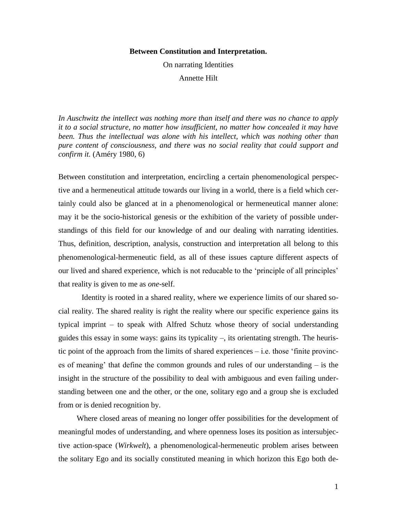## **Between Constitution and Interpretation.**

On narrating Identities

Annette Hilt

*In Auschwitz the intellect was nothing more than itself and there was no chance to apply it to a social structure, no matter how insufficient, no matter how concealed it may have been. Thus the intellectual was alone with his intellect, which was nothing other than pure content of consciousness, and there was no social reality that could support and confirm it.* (Améry 1980, 6)

Between constitution and interpretation, encircling a certain phenomenological perspective and a hermeneutical attitude towards our living in a world, there is a field which certainly could also be glanced at in a phenomenological or hermeneutical manner alone: may it be the socio-historical genesis or the exhibition of the variety of possible understandings of this field for our knowledge of and our dealing with narrating identities. Thus, definition, description, analysis, construction and interpretation all belong to this phenomenological-hermeneutic field, as all of these issues capture different aspects of our lived and shared experience, which is not reducable to the 'principle of all principles' that reality is given to me as *one*-self.

Identity is rooted in a shared reality, where we experience limits of our shared social reality. The shared reality is right the reality where our specific experience gains its typical imprint – to speak with Alfred Schutz whose theory of social understanding guides this essay in some ways: gains its typicality –, its orientating strength. The heuristic point of the approach from the limits of shared experiences – i.e. those 'finite provinces of meaning' that define the common grounds and rules of our understanding – is the insight in the structure of the possibility to deal with ambiguous and even failing understanding between one and the other, or the one, solitary ego and a group she is excluded from or is denied recognition by.

Where closed areas of meaning no longer offer possibilities for the development of meaningful modes of understanding, and where openness loses its position as intersubjective action-space (*Wirkwelt*), a phenomenological-hermeneutic problem arises between the solitary Ego and its socially constituted meaning in which horizon this Ego both de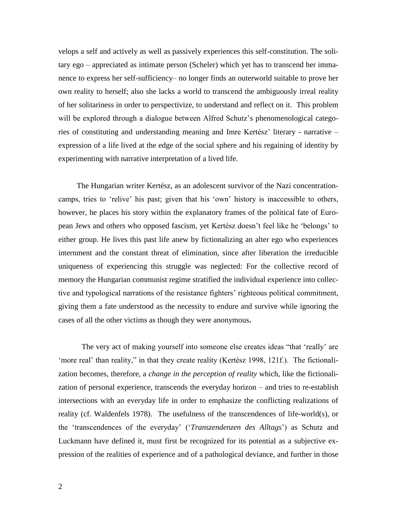velops a self and actively as well as passively experiences this self-constitution. The solitary ego – appreciated as intimate person (Scheler) which yet has to transcend her immanence to express her self-sufficiency– no longer finds an outerworld suitable to prove her own reality to herself; also she lacks a world to transcend the ambiguously irreal reality of her solitariness in order to perspectivize, to understand and reflect on it. This problem will be explored through a dialogue between Alfred Schutz's phenomenological categories of constituting and understanding meaning and Imre Kertész' literary - narrative – expression of a life lived at the edge of the social sphere and his regaining of identity by experimenting with narrative interpretation of a lived life.

The Hungarian writer Kertész, as an adolescent survivor of the Nazi concentrationcamps, tries to 'relive' his past; given that his 'own' history is inaccessible to others, however, he places his story within the explanatory frames of the political fate of European Jews and others who opposed fascism, yet Kertész doesn't feel like he 'belongs' to either group. He lives this past life anew by fictionalizing an alter ego who experiences internment and the constant threat of elimination, since after liberation the irreducible uniqueness of experiencing this struggle was neglected: For the collective record of memory the Hungarian communist regime stratified the individual experience into collective and typological narrations of the resistance fighters' righteous political commitment, giving them a fate understood as the necessity to endure and survive while ignoring the cases of all the other victims as though they were anonymous**.**

The very act of making yourself into someone else creates ideas "that 'really' are 'more real' than reality," in that they create reality (Kertész 1998, 121f.). The fictionalization becomes, therefore, a *change in the perception of reality* which, like the fictionalization of personal experience, transcends the everyday horizon – and tries to re-establish intersections with an everyday life in order to emphasize the conflicting realizations of reality (cf. Waldenfels 1978). The usefulness of the transcendences of life-world(s), or the 'transcendences of the everyday' ('*Transzendenzen des Alltags*') as Schutz and Luckmann have defined it, must first be recognized for its potential as a subjective expression of the realities of experience and of a pathological deviance, and further in those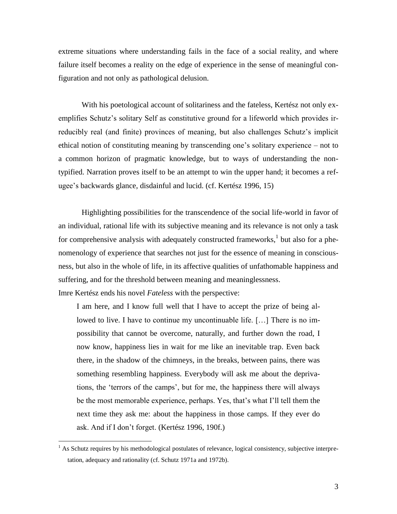extreme situations where understanding fails in the face of a social reality, and where failure itself becomes a reality on the edge of experience in the sense of meaningful configuration and not only as pathological delusion.

With his poetological account of solitariness and the fateless, Kertész not only exemplifies Schutz's solitary Self as constitutive ground for a lifeworld which provides irreducibly real (and finite) provinces of meaning, but also challenges Schutz's implicit ethical notion of constituting meaning by transcending one's solitary experience – not to a common horizon of pragmatic knowledge, but to ways of understanding the nontypified. Narration proves itself to be an attempt to win the upper hand; it becomes a refugee's backwards glance, disdainful and lucid. (cf. Kertész 1996, 15)

Highlighting possibilities for the transcendence of the social life-world in favor of an individual, rational life with its subjective meaning and its relevance is not only a task for comprehensive analysis with adequately constructed frameworks,<sup>1</sup> but also for a phenomenology of experience that searches not just for the essence of meaning in consciousness, but also in the whole of life, in its affective qualities of unfathomable happiness and suffering, and for the threshold between meaning and meaninglessness. Imre Kertész ends his novel *Fateless* with the perspective:

I am here, and I know full well that I have to accept the prize of being allowed to live. I have to continue my uncontinuable life. […] There is no impossibility that cannot be overcome, naturally, and further down the road, I now know, happiness lies in wait for me like an inevitable trap. Even back there, in the shadow of the chimneys, in the breaks, between pains, there was something resembling happiness. Everybody will ask me about the deprivations, the 'terrors of the camps', but for me, the happiness there will always be the most memorable experience, perhaps. Yes, that's what I'll tell them the next time they ask me: about the happiness in those camps. If they ever do ask. And if I don't forget. (Kertész 1996, 190f.)

 $<sup>1</sup>$  As Schutz requires by his methodological postulates of relevance, logical consistency, subjective interpre-</sup> tation, adequacy and rationality (cf. Schutz 1971a and 1972b).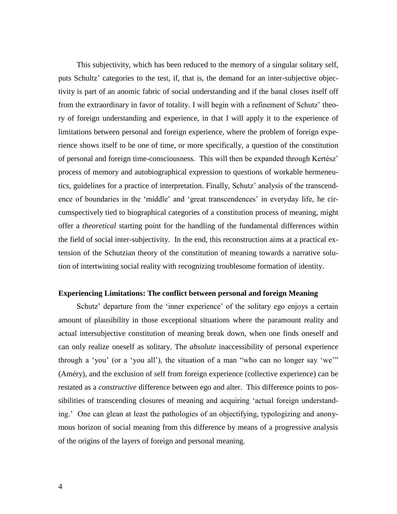This subjectivity, which has been reduced to the memory of a singular solitary self, puts Schultz' categories to the test, if, that is, the demand for an inter-subjective objectivity is part of an anomic fabric of social understanding and if the banal closes itself off from the extraordinary in favor of totality. I will begin with a refinement of Schutz' theory of foreign understanding and experience, in that I will apply it to the experience of limitations between personal and foreign experience, where the problem of foreign experience shows itself to be one of time, or more specifically, a question of the constitution of personal and foreign time-consciousness. This will then be expanded through Kertész' process of memory and autobiographical expression to questions of workable hermeneutics, guidelines for a practice of interpretation. Finally, Schutz' analysis of the transcendence of boundaries in the 'middle' and 'great transcendences' in everyday life, he circumspectively tied to biographical categories of a constitution process of meaning, might offer a *theoretical* starting point for the handling of the fundamental differences within the field of social inter-subjectivity. In the end, this reconstruction aims at a practical extension of the Schutzian theory of the constitution of meaning towards a narrative solution of intertwining social reality with recognizing troublesome formation of identity.

### **Experiencing Limitations: The conflict between personal and foreign Meaning**

Schutz' departure from the 'inner experience' of the solitary ego enjoys a certain amount of plausibility in those exceptional situations where the paramount reality and actual intersubjective constitution of meaning break down, when one finds oneself and can only realize oneself as solitary. The *absolute* inaccessibility of personal experience through a 'you' (or a 'you all'), the situation of a man "who can no longer say 'we'" (Améry), and the exclusion of self from foreign experience (collective experience) can be restated as a *constructive* difference between ego and alter. This difference points to possibilities of transcending closures of meaning and acquiring 'actual foreign understanding.' One can glean at least the pathologies of an objectifying, typologizing and anonymous horizon of social meaning from this difference by means of a progressive analysis of the origins of the layers of foreign and personal meaning.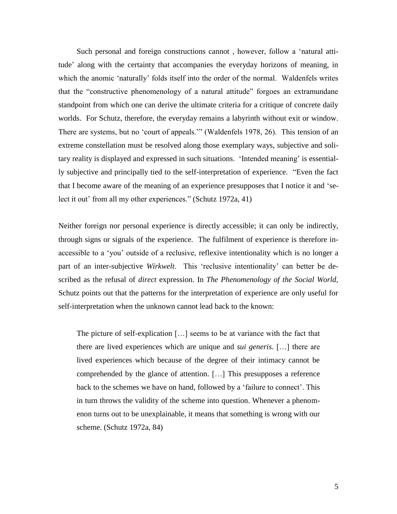Such personal and foreign constructions cannot , however, follow a 'natural attitude' along with the certainty that accompanies the everyday horizons of meaning, in which the anomic 'naturally' folds itself into the order of the normal. Waldenfels writes that the "constructive phenomenology of a natural attitude" forgoes an extramundane standpoint from which one can derive the ultimate criteria for a critique of concrete daily worlds. For Schutz, therefore, the everyday remains a labyrinth without exit or window. There are systems, but no 'court of appeals.'" (Waldenfels 1978, 26). This tension of an extreme constellation must be resolved along those exemplary ways, subjective and solitary reality is displayed and expressed in such situations. 'Intended meaning' is essentially subjective and principally tied to the self-interpretation of experience. "Even the fact that I become aware of the meaning of an experience presupposes that I notice it and 'select it out' from all my other experiences." (Schutz 1972a, 41)

Neither foreign nor personal experience is directly accessible; it can only be indirectly, through signs or signals of the experience. The fulfilment of experience is therefore inaccessible to a 'you' outside of a reclusive, reflexive intentionality which is no longer a part of an inter-subjective *Wirkwelt*. This 'reclusive intentionality' can better be described as the refusal of *direct* expression. In *The Phenomenology of the Social World,*  Schutz points out that the patterns for the interpretation of experience are only useful for self-interpretation when the unknown cannot lead back to the known:

The picture of self-explication […] seems to be at variance with the fact that there are lived experiences which are unique and *sui generis*. […] there are lived experiences which because of the degree of their intimacy cannot be comprehended by the glance of attention. […] This presupposes a reference back to the schemes we have on hand, followed by a 'failure to connect'. This in turn throws the validity of the scheme into question. Whenever a phenomenon turns out to be unexplainable, it means that something is wrong with our scheme. (Schutz 1972a, 84)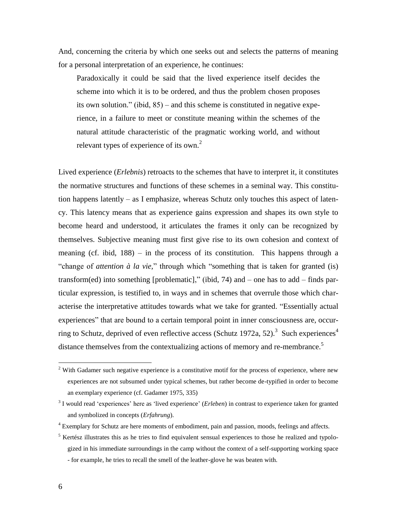And, concerning the criteria by which one seeks out and selects the patterns of meaning for a personal interpretation of an experience, he continues:

Paradoxically it could be said that the lived experience itself decides the scheme into which it is to be ordered, and thus the problem chosen proposes its own solution." (ibid, 85) – and this scheme is constituted in negative experience, in a failure to meet or constitute meaning within the schemes of the natural attitude characteristic of the pragmatic working world, and without relevant types of experience of its own.<sup>2</sup>

Lived experience (*Erlebnis*) retroacts to the schemes that have to interpret it, it constitutes the normative structures and functions of these schemes in a seminal way. This constitution happens latently – as I emphasize, whereas Schutz only touches this aspect of latency. This latency means that as experience gains expression and shapes its own style to become heard and understood, it articulates the frames it only can be recognized by themselves. Subjective meaning must first give rise to its own cohesion and context of meaning (cf. ibid, 188) – in the process of its constitution. This happens through a "change of *attention à la vie,*" through which "something that is taken for granted (is) transform(ed) into something [problematic]," (ibid, 74) and  $-$  one has to add  $-$  finds particular expression, is testified to, in ways and in schemes that overrule those which characterise the interpretative attitudes towards what we take for granted. "Essentially actual experiences" that are bound to a certain temporal point in inner consciousness are, occurring to Schutz, deprived of even reflective access (Schutz 1972a, 52).<sup>3</sup> Such experiences<sup>4</sup> distance themselves from the contextualizing actions of memory and re-membrance.<sup>5</sup>

<sup>&</sup>lt;sup>2</sup> With Gadamer such negative experience is a constitutive motif for the process of experience, where new experiences are not subsumed under typical schemes, but rather become de-typified in order to become an exemplary experience (cf. Gadamer 1975, 335)

<sup>&</sup>lt;sup>3</sup> I would read 'experiences' here as 'lived experience' (*Erleben*) in contrast to experience taken for granted and symbolized in concepts (*Erfahrung*).

<sup>4</sup> Exemplary for Schutz are here moments of embodiment, pain and passion, moods, feelings and affects.

 $<sup>5</sup>$  Kertész illustrates this as he tries to find equivalent sensual experiences to those he realized and typolo-</sup> gized in his immediate surroundings in the camp without the context of a self-supporting working space - for example, he tries to recall the smell of the leather-glove he was beaten with.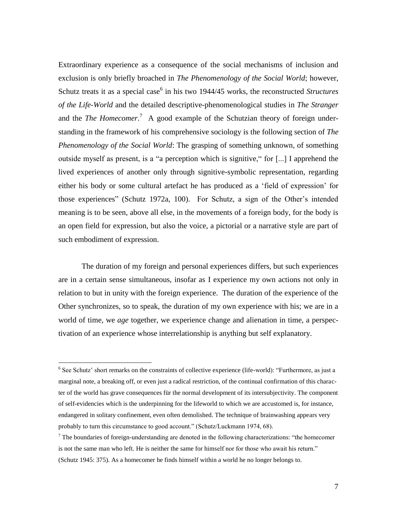Extraordinary experience as a consequence of the social mechanisms of inclusion and exclusion is only briefly broached in *The Phenomenology of the Social World*; however, Schutz treats it as a special case<sup>6</sup> in his two 1944/45 works, the reconstructed *Structures of the Life-World* and the detailed descriptive-phenomenological studies in *The Stranger*  and the *The Homecomer*.<sup>7</sup> A good example of the Schutzian theory of foreign understanding in the framework of his comprehensive sociology is the following section of *The Phenomenology of the Social World*: The grasping of something unknown, of something outside myself as present, is a "a perception which is signitive," for [...] I apprehend the lived experiences of another only through signitive-symbolic representation, regarding either his body or some cultural artefact he has produced as a 'field of expression' for those experiences" (Schutz 1972a, 100). For Schutz, a sign of the Other's intended meaning is to be seen, above all else, in the movements of a foreign body, for the body is an open field for expression, but also the voice, a pictorial or a narrative style are part of such embodiment of expression.

The duration of my foreign and personal experiences differs, but such experiences are in a certain sense simultaneous, insofar as I experience my own actions not only in relation to but in unity with the foreign experience. The duration of the experience of the Other synchronizes, so to speak, the duration of my own experience with his; we are in a world of time, we *age* together, we experience change and alienation in time, a perspectivation of an experience whose interrelationship is anything but self explanatory.

<sup>&</sup>lt;sup>6</sup> See Schutz' short remarks on the constraints of collective experience (life-world): "Furthermore, as just a marginal note, a breaking off, or even just a radical restriction, of the continual confirmation of this character of the world has grave consequences für the normal development of its intersubjectivity. The component of self-evidencies which is the underpinning for the lifeworld to which we are accustomed is, for instance, endangered in solitary confinement, even often demolished. The technique of brainwashing appears very probably to turn this circumstance to good account." (Schutz/Luckmann 1974, 68).

 $<sup>7</sup>$  The boundaries of foreign-understanding are denoted in the following characterizations: "the homecomer"</sup> is not the same man who left. He is neither the same for himself nor for those who await his return." (Schutz 1945: 375). As a homecomer he finds himself within a world he no longer belongs to.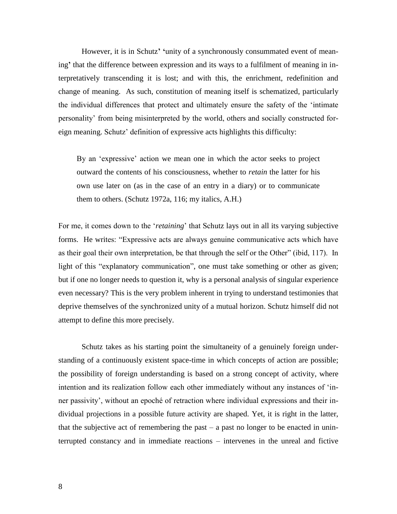However, it is in Schutz**' '**unity of a synchronously consummated event of meaning**'** that the difference between expression and its ways to a fulfilment of meaning in interpretatively transcending it is lost; and with this, the enrichment, redefinition and change of meaning. As such, constitution of meaning itself is schematized, particularly the individual differences that protect and ultimately ensure the safety of the 'intimate personality' from being misinterpreted by the world, others and socially constructed foreign meaning. Schutz' definition of expressive acts highlights this difficulty:

By an 'expressive' action we mean one in which the actor seeks to project outward the contents of his consciousness, whether to *retain* the latter for his own use later on (as in the case of an entry in a diary) or to communicate them to others. (Schutz 1972a, 116; my italics, A.H.)

For me, it comes down to the '*retaining*' that Schutz lays out in all its varying subjective forms. He writes: "Expressive acts are always genuine communicative acts which have as their goal their own interpretation, be that through the self or the Other" (ibid, 117). In light of this "explanatory communication", one must take something or other as given; but if one no longer needs to question it, why is a personal analysis of singular experience even necessary? This is the very problem inherent in trying to understand testimonies that deprive themselves of the synchronized unity of a mutual horizon. Schutz himself did not attempt to define this more precisely.

Schutz takes as his starting point the simultaneity of a genuinely foreign understanding of a continuously existent space-time in which concepts of action are possible; the possibility of foreign understanding is based on a strong concept of activity, where intention and its realization follow each other immediately without any instances of 'inner passivity', without an epoché of retraction where individual expressions and their individual projections in a possible future activity are shaped. Yet, it is right in the latter, that the subjective act of remembering the past – a past no longer to be enacted in uninterrupted constancy and in immediate reactions – intervenes in the unreal and fictive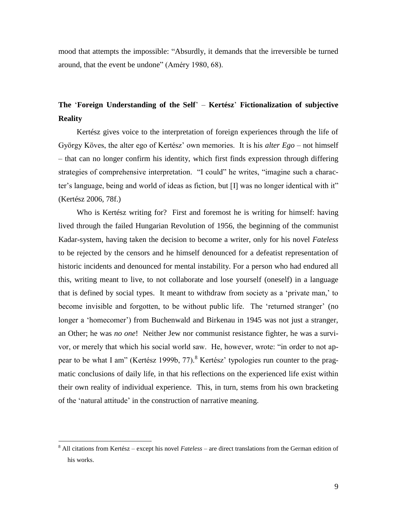mood that attempts the impossible: "Absurdly, it demands that the irreversible be turned around, that the event be undone" (Améry 1980, 68).

# **The** '**Foreign Understanding of the Self**' – **Kertész**' **Fictionalization of subjective Reality**

Kertész gives voice to the interpretation of foreign experiences through the life of György Köves, the alter ego of Kertész' own memories. It is his *alter Ego* – not himself – that can no longer confirm his identity, which first finds expression through differing strategies of comprehensive interpretation. "I could" he writes, "imagine such a character's language, being and world of ideas as fiction, but [I] was no longer identical with it" (Kertész 2006, 78f.)

Who is Kertész writing for? First and foremost he is writing for himself: having lived through the failed Hungarian Revolution of 1956, the beginning of the communist Kadar-system, having taken the decision to become a writer, only for his novel *Fateless*  to be rejected by the censors and he himself denounced for a defeatist representation of historic incidents and denounced for mental instability. For a person who had endured all this, writing meant to live, to not collaborate and lose yourself (oneself) in a language that is defined by social types. It meant to withdraw from society as a 'private man,' to become invisible and forgotten, to be without public life. The 'returned stranger' (no longer a 'homecomer') from Buchenwald and Birkenau in 1945 was not just a stranger, an Other; he was *no one*! Neither Jew nor communist resistance fighter, he was a survivor, or merely that which his social world saw. He, however, wrote: "in order to not appear to be what I am" (Kertész 1999b, 77).<sup>8</sup> Kertész' typologies run counter to the pragmatic conclusions of daily life, in that his reflections on the experienced life exist within their own reality of individual experience. This, in turn, stems from his own bracketing of the 'natural attitude' in the construction of narrative meaning.

<sup>8</sup> All citations from Kertész – except his novel *Fateless* – are direct translations from the German edition of his works.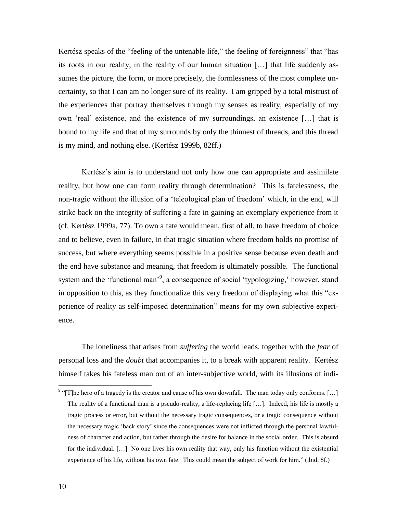Kertész speaks of the "feeling of the untenable life," the feeling of foreignness" that "has its roots in our reality, in the reality of our human situation […] that life suddenly assumes the picture, the form, or more precisely, the formlessness of the most complete uncertainty, so that I can am no longer sure of its reality. I am gripped by a total mistrust of the experiences that portray themselves through my senses as reality, especially of my own 'real' existence, and the existence of my surroundings, an existence […] that is bound to my life and that of my surrounds by only the thinnest of threads, and this thread is my mind, and nothing else. (Kertész 1999b, 82ff.)

Kertész's aim is to understand not only how one can appropriate and assimilate reality, but how one can form reality through determination? This is fatelessness, the non-tragic without the illusion of a 'teleological plan of freedom' which, in the end, will strike back on the integrity of suffering a fate in gaining an exemplary experience from it (cf. Kertész 1999a, 77). To own a fate would mean, first of all, to have freedom of choice and to believe, even in failure, in that tragic situation where freedom holds no promise of success, but where everything seems possible in a positive sense because even death and the end have substance and meaning, that freedom is ultimately possible. The functional system and the 'functional man'<sup>9</sup>, a consequence of social 'typologizing,' however, stand in opposition to this, as they functionalize this very freedom of displaying what this "experience of reality as self-imposed determination" means for my own subjective experience.

The loneliness that arises from *suffering* the world leads, together with the *fear* of personal loss and the *doubt* that accompanies it, to a break with apparent reality. Kertész himself takes his fateless man out of an inter-subjective world, with its illusions of indi-

<sup>&</sup>lt;sup>9</sup> "[T]he hero of a tragedy is the creator and cause of his own downfall. The man today only conforms. [...] The reality of a functional man is a pseudo-reality, a life-replacing life […]. Indeed, his life is mostly a tragic process or error, but without the necessary tragic consequences, or a tragic consequence without the necessary tragic 'back story' since the consequences were not inflicted through the personal lawfulness of character and action, but rather through the desire for balance in the social order. This is absurd for the individual. […] No one lives his own reality that way, only his function without the existential experience of his life, without his own fate. This could mean the subject of work for him." (ibid, 8f.)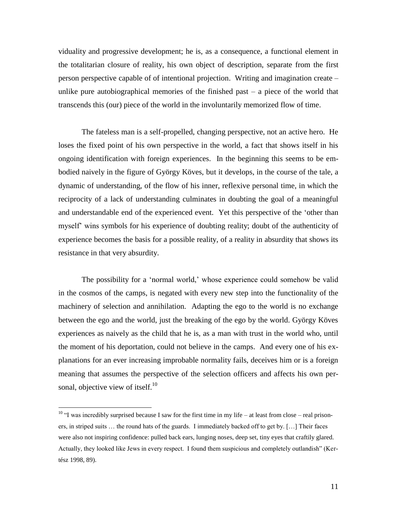viduality and progressive development; he is, as a consequence, a functional element in the totalitarian closure of reality, his own object of description, separate from the first person perspective capable of of intentional projection. Writing and imagination create – unlike pure autobiographical memories of the finished past – a piece of the world that transcends this (our) piece of the world in the involuntarily memorized flow of time.

The fateless man is a self-propelled, changing perspective, not an active hero. He loses the fixed point of his own perspective in the world, a fact that shows itself in his ongoing identification with foreign experiences. In the beginning this seems to be embodied naively in the figure of György Köves, but it develops, in the course of the tale, a dynamic of understanding, of the flow of his inner, reflexive personal time, in which the reciprocity of a lack of understanding culminates in doubting the goal of a meaningful and understandable end of the experienced event. Yet this perspective of the 'other than myself' wins symbols for his experience of doubting reality; doubt of the authenticity of experience becomes the basis for a possible reality, of a reality in absurdity that shows its resistance in that very absurdity.

The possibility for a 'normal world,' whose experience could somehow be valid in the cosmos of the camps, is negated with every new step into the functionality of the machinery of selection and annihilation. Adapting the ego to the world is no exchange between the ego and the world, just the breaking of the ego by the world. György Köves experiences as naively as the child that he is, as a man with trust in the world who, until the moment of his deportation, could not believe in the camps. And every one of his explanations for an ever increasing improbable normality fails, deceives him or is a foreign meaning that assumes the perspective of the selection officers and affects his own personal, objective view of itself.<sup>10</sup>

<sup>&</sup>lt;sup>10</sup> "I was incredibly surprised because I saw for the first time in my life – at least from close – real prisoners, in striped suits … the round hats of the guards. I immediately backed off to get by. […] Their faces were also not inspiring confidence: pulled back ears, lunging noses, deep set, tiny eyes that craftily glared. Actually, they looked like Jews in every respect. I found them suspicious and completely outlandish" (Kertész 1998, 89).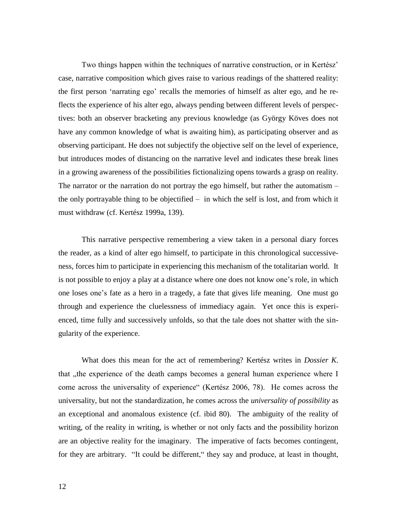Two things happen within the techniques of narrative construction, or in Kertész' case, narrative composition which gives raise to various readings of the shattered reality: the first person 'narrating ego' recalls the memories of himself as alter ego, and he reflects the experience of his alter ego, always pending between different levels of perspectives: both an observer bracketing any previous knowledge (as György Köves does not have any common knowledge of what is awaiting him), as participating observer and as observing participant. He does not subjectify the objective self on the level of experience, but introduces modes of distancing on the narrative level and indicates these break lines in a growing awareness of the possibilities fictionalizing opens towards a grasp on reality. The narrator or the narration do not portray the ego himself, but rather the automatism – the only portrayable thing to be objectified – in which the self is lost, and from which it must withdraw (cf. Kertész 1999a, 139).

This narrative perspective remembering a view taken in a personal diary forces the reader, as a kind of alter ego himself, to participate in this chronological successiveness, forces him to participate in experiencing this mechanism of the totalitarian world. It is not possible to enjoy a play at a distance where one does not know one's role, in which one loses one's fate as a hero in a tragedy, a fate that gives life meaning. One must go through and experience the cluelessness of immediacy again. Yet once this is experienced, time fully and successively unfolds, so that the tale does not shatter with the singularity of the experience.

What does this mean for the act of remembering? Kertész writes in *Dossier K.* that , the experience of the death camps becomes a general human experience where I come across the universality of experience" (Kertész 2006, 78). He comes across the universality, but not the standardization, he comes across the *universality of possibility* as an exceptional and anomalous existence (cf. ibid 80). The ambiguity of the reality of writing, of the reality in writing, is whether or not only facts and the possibility horizon are an objective reality for the imaginary. The imperative of facts becomes contingent, for they are arbitrary. "It could be different," they say and produce, at least in thought,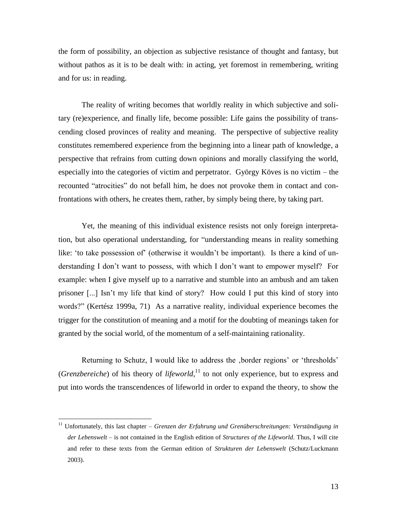the form of possibility, an objection as subjective resistance of thought and fantasy, but without pathos as it is to be dealt with: in acting, yet foremost in remembering, writing and for us: in reading.

The reality of writing becomes that worldly reality in which subjective and solitary (re)experience, and finally life, become possible: Life gains the possibility of transcending closed provinces of reality and meaning. The perspective of subjective reality constitutes remembered experience from the beginning into a linear path of knowledge, a perspective that refrains from cutting down opinions and morally classifying the world, especially into the categories of victim and perpetrator. György Köves is no victim – the recounted "atrocities" do not befall him, he does not provoke them in contact and confrontations with others, he creates them, rather, by simply being there, by taking part.

Yet, the meaning of this individual existence resists not only foreign interpretation, but also operational understanding, for "understanding means in reality something like: 'to take possession of' (otherwise it wouldn't be important). Is there a kind of understanding I don't want to possess, with which I don't want to empower myself? For example: when I give myself up to a narrative and stumble into an ambush and am taken prisoner [...] Isn't my life that kind of story? How could I put this kind of story into words?" (Kertész 1999a, 71) As a narrative reality, individual experience becomes the trigger for the constitution of meaning and a motif for the doubting of meanings taken for granted by the social world, of the momentum of a self-maintaining rationality.

Returning to Schutz, I would like to address the , border regions' or 'thresholds' (*Grenzbereiche*) of his theory of *lifeworld*,<sup>11</sup> to not only experience, but to express and put into words the transcendences of lifeworld in order to expand the theory, to show the

<sup>&</sup>lt;sup>11</sup> Unfortunately, this last chapter – *Grenzen der Erfahrung und Grenüberschreitungen: Verständigung in der Lebenswelt* – is not contained in the English edition of *Structures of the Lifeworld*. Thus, I will cite and refer to these texts from the German edition of *Strukturen der Lebenswelt* (Schutz/Luckmann 2003).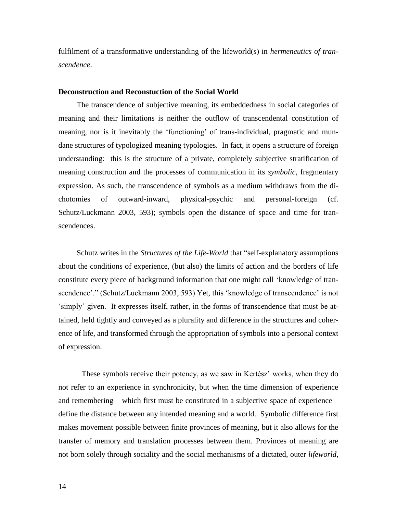fulfilment of a transformative understanding of the lifeworld(s) in *hermeneutics of transcendence*.

### **Deconstruction and Reconstuction of the Social World**

The transcendence of subjective meaning, its embeddedness in social categories of meaning and their limitations is neither the outflow of transcendental constitution of meaning, nor is it inevitably the 'functioning' of trans-individual, pragmatic and mundane structures of typologized meaning typologies. In fact, it opens a structure of foreign understanding: this is the structure of a private, completely subjective stratification of meaning construction and the processes of communication in its *symbolic*, fragmentary expression. As such, the transcendence of symbols as a medium withdraws from the dichotomies of outward-inward, physical-psychic and personal-foreign (cf. Schutz/Luckmann 2003, 593); symbols open the distance of space and time for transcendences.

Schutz writes in the *Structures of the Life-World* that "self-explanatory assumptions about the conditions of experience, (but also) the limits of action and the borders of life constitute every piece of background information that one might call 'knowledge of transcendence'." (Schutz/Luckmann 2003, 593) Yet, this 'knowledge of transcendence' is not 'simply' given. It expresses itself, rather, in the forms of transcendence that must be attained, held tightly and conveyed as a plurality and difference in the structures and coherence of life, and transformed through the appropriation of symbols into a personal context of expression.

These symbols receive their potency, as we saw in Kertész' works, when they do not refer to an experience in synchronicity, but when the time dimension of experience and remembering – which first must be constituted in a subjective space of experience – define the distance between any intended meaning and a world. Symbolic difference first makes movement possible between finite provinces of meaning, but it also allows for the transfer of memory and translation processes between them. Provinces of meaning are not born solely through sociality and the social mechanisms of a dictated, outer *lifeworld*,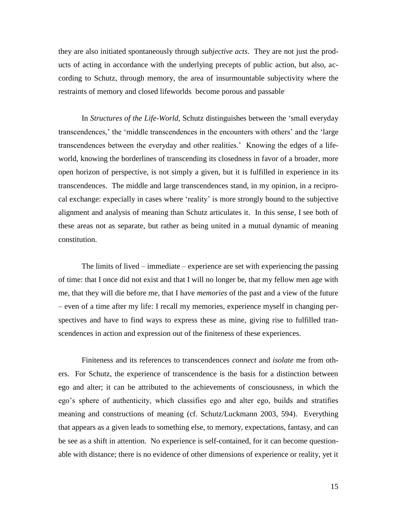they are also initiated spontaneously through *subjective acts*. They are not just the products of acting in accordance with the underlying precepts of public action, but also, according to Schutz, through memory, the area of insurmountable subjectivity where the restraints of memory and closed lifeworlds become porous and passable.

In *Structures of the Life-World*, Schutz distinguishes between the 'small everyday transcendences,' the 'middle transcendences in the encounters with others' and the 'large transcendences between the everyday and other realities.' Knowing the edges of a lifeworld, knowing the borderlines of transcending its closedness in favor of a broader, more open horizon of perspective, is not simply a given, but it is fulfilled in experience in its transcendences. The middle and large transcendences stand, in my opinion, in a reciprocal exchange: expecially in cases where 'reality' is more strongly bound to the subjective alignment and analysis of meaning than Schutz articulates it. In this sense, I see both of these areas not as separate, but rather as being united in a mutual dynamic of meaning constitution.

The limits of lived – immediate – experience are set with experiencing the passing of time: that I once did not exist and that I will no longer be, that my fellow men age with me, that they will die before me, that I have *memories* of the past and a view of the future – even of a time after my life: I recall my memories, experience myself in changing perspectives and have to find ways to express these as mine, giving rise to fulfilled transcendences in action and expression out of the finiteness of these experiences.

Finiteness and its references to transcendences *connect* and *isolate* me from others. For Schutz, the experience of transcendence is the basis for a distinction between ego and alter; it can be attributed to the achievements of consciousness, in which the ego's sphere of authenticity, which classifies ego and alter ego, builds and stratifies meaning and constructions of meaning (cf. Schutz/Luckmann 2003, 594). Everything that appears as a given leads to something else, to memory, expectations, fantasy, and can be see as a shift in attention. No experience is self-contained, for it can become questionable with distance; there is no evidence of other dimensions of experience or reality, yet it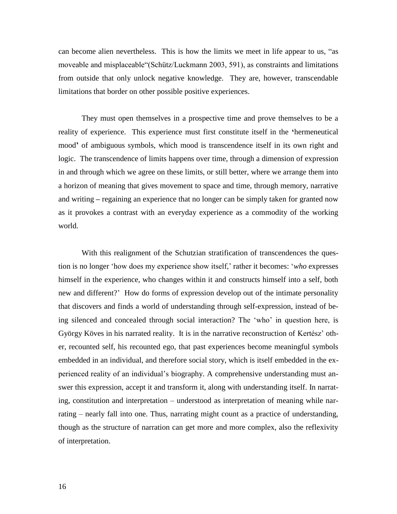can become alien nevertheless. This is how the limits we meet in life appear to us, "as moveable and misplaceable"(Schütz/Luckmann 2003, 591), as constraints and limitations from outside that only unlock negative knowledge. They are, however, transcendable limitations that border on other possible positive experiences.

They must open themselves in a prospective time and prove themselves to be a reality of experience. This experience must first constitute itself in the **'**hermeneutical mood**'** of ambiguous symbols, which mood is transcendence itself in its own right and logic. The transcendence of limits happens over time, through a dimension of expression in and through which we agree on these limits, or still better, where we arrange them into a horizon of meaning that gives movement to space and time, through memory, narrative and writing **–** regaining an experience that no longer can be simply taken for granted now as it provokes a contrast with an everyday experience as a commodity of the working world.

With this realignment of the Schutzian stratification of transcendences the question is no longer 'how does my experience show itself,' rather it becomes: '*who* expresses himself in the experience, who changes within it and constructs himself into a self, both new and different?' How do forms of expression develop out of the intimate personality that discovers and finds a world of understanding through self-expression, instead of being silenced and concealed through social interaction? The 'who' in question here, is György Köves in his narrated reality. It is in the narrative reconstruction of Kertész' other, recounted self, his recounted ego, that past experiences become meaningful symbols embedded in an individual, and therefore social story, which is itself embedded in the experienced reality of an individual's biography. A comprehensive understanding must answer this expression, accept it and transform it, along with understanding itself. In narrating, constitution and interpretation – understood as interpretation of meaning while narrating – nearly fall into one. Thus, narrating might count as a practice of understanding, though as the structure of narration can get more and more complex, also the reflexivity of interpretation.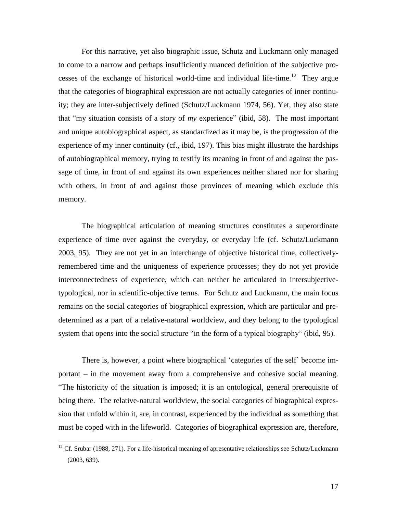For this narrative, yet also biographic issue, Schutz and Luckmann only managed to come to a narrow and perhaps insufficiently nuanced definition of the subjective processes of the exchange of historical world-time and individual life-time.<sup>12</sup> They argue that the categories of biographical expression are not actually categories of inner continuity; they are inter-subjectively defined (Schutz/Luckmann 1974, 56). Yet, they also state that "my situation consists of a story of *my* experience" (ibid, 58). The most important and unique autobiographical aspect, as standardized as it may be, is the progression of the experience of my inner continuity (cf., ibid, 197). This bias might illustrate the hardships of autobiographical memory, trying to testify its meaning in front of and against the passage of time, in front of and against its own experiences neither shared nor for sharing with others, in front of and against those provinces of meaning which exclude this memory.

The biographical articulation of meaning structures constitutes a superordinate experience of time over against the everyday, or everyday life (cf. Schutz/Luckmann 2003, 95). They are not yet in an interchange of objective historical time, collectivelyremembered time and the uniqueness of experience processes; they do not yet provide interconnectedness of experience, which can neither be articulated in intersubjectivetypological, nor in scientific-objective terms. For Schutz and Luckmann, the main focus remains on the social categories of biographical expression, which are particular and predetermined as a part of a relative-natural worldview, and they belong to the typological system that opens into the social structure "in the form of a typical biography" (ibid, 95).

There is, however, a point where biographical 'categories of the self' become important – in the movement away from a comprehensive and cohesive social meaning. "The historicity of the situation is imposed; it is an ontological, general prerequisite of being there. The relative-natural worldview, the social categories of biographical expression that unfold within it, are, in contrast, experienced by the individual as something that must be coped with in the lifeworld. Categories of biographical expression are, therefore,

 $12$  Cf. Srubar (1988, 271). For a life-historical meaning of apresentative relationships see Schutz/Luckmann (2003, 639).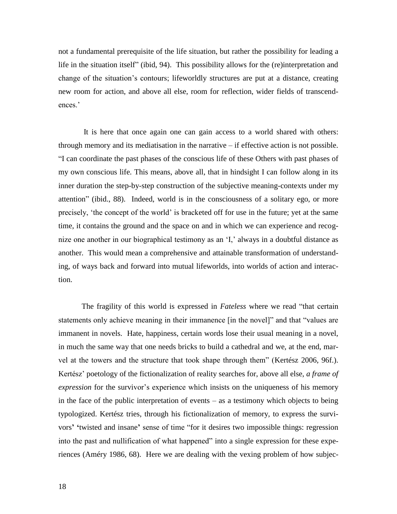not a fundamental prerequisite of the life situation, but rather the possibility for leading a life in the situation itself" (ibid, 94). This possibility allows for the (re)interpretation and change of the situation's contours; lifeworldly structures are put at a distance, creating new room for action, and above all else, room for reflection, wider fields of transcendences.'

It is here that once again one can gain access to a world shared with others: through memory and its mediatisation in the narrative – if effective action is not possible. "I can coordinate the past phases of the conscious life of these Others with past phases of my own conscious life. This means, above all, that in hindsight I can follow along in its inner duration the step-by-step construction of the subjective meaning-contexts under my attention" (ibid., 88). Indeed, world is in the consciousness of a solitary ego, or more precisely, 'the concept of the world' is bracketed off for use in the future; yet at the same time, it contains the ground and the space on and in which we can experience and recognize one another in our biographical testimony as an 'I,' always in a doubtful distance as another. This would mean a comprehensive and attainable transformation of understanding, of ways back and forward into mutual lifeworlds, into worlds of action and interaction.

The fragility of this world is expressed in *Fateless* where we read "that certain statements only achieve meaning in their immanence [in the novel]" and that "values are immanent in novels. Hate, happiness, certain words lose their usual meaning in a novel, in much the same way that one needs bricks to build a cathedral and we, at the end, marvel at the towers and the structure that took shape through them" (Kertész 2006, 96f.). Kertész' poetology of the fictionalization of reality searches for, above all else, *a frame of expression* for the survivor's experience which insists on the uniqueness of his memory in the face of the public interpretation of events – as a testimony which objects to being typologized. Kertész tries, through his fictionalization of memory, to express the survivors**' '**twisted and insane**'** sense of time "for it desires two impossible things: regression into the past and nullification of what happened" into a single expression for these experiences (Améry 1986, 68). Here we are dealing with the vexing problem of how subjec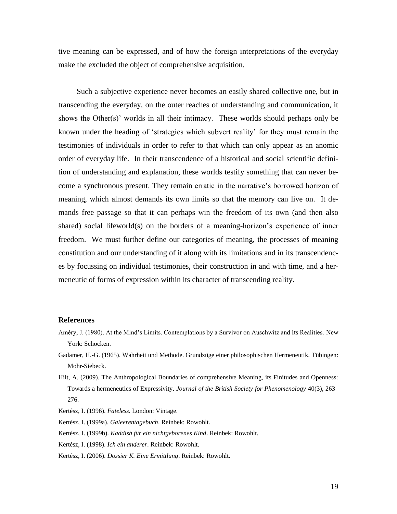tive meaning can be expressed, and of how the foreign interpretations of the everyday make the excluded the object of comprehensive acquisition.

Such a subjective experience never becomes an easily shared collective one, but in transcending the everyday, on the outer reaches of understanding and communication, it shows the Other(s)' worlds in all their intimacy. These worlds should perhaps only be known under the heading of 'strategies which subvert reality' for they must remain the testimonies of individuals in order to refer to that which can only appear as an anomic order of everyday life. In their transcendence of a historical and social scientific definition of understanding and explanation, these worlds testify something that can never become a synchronous present. They remain erratic in the narrative's borrowed horizon of meaning, which almost demands its own limits so that the memory can live on. It demands free passage so that it can perhaps win the freedom of its own (and then also shared) social lifeworld(s) on the borders of a meaning-horizon's experience of inner freedom. We must further define our categories of meaning, the processes of meaning constitution and our understanding of it along with its limitations and in its transcendences by focussing on individual testimonies, their construction in and with time, and a hermeneutic of forms of expression within its character of transcending reality.

#### **References**

- Améry, J. (1980). At the Mind's Limits. Contemplations by a Survivor on Auschwitz and Its Realities. New York: Schocken.
- Gadamer, H.-G. (1965). Wahrheit und Methode. Grundzüge einer philosophischen Hermeneutik. Tübingen: Mohr-Siebeck.
- Hilt, A. (2009). The Anthropological Boundaries of comprehensive Meaning, its Finitudes and Openness: Towards a hermeneutics of Expressivity. *Journal of the British Society for Phenomenology* 40(3), 263– 276.
- Kertész, I. (1996). *Fateless*. London: Vintage.
- Kertész, I. (1999a). *Galeerentagebuch*. Reinbek: Rowohlt.
- Kertész, I. (1999b). *Kaddish für ein nichtgeborenes Kind*. Reinbek: Rowohlt.
- Kertész, I. (1998). *Ich ein anderer*. Reinbek: Rowohlt.
- Kertész, I. (2006). *Dossier K. Eine Ermittlung*. Reinbek: Rowohlt.